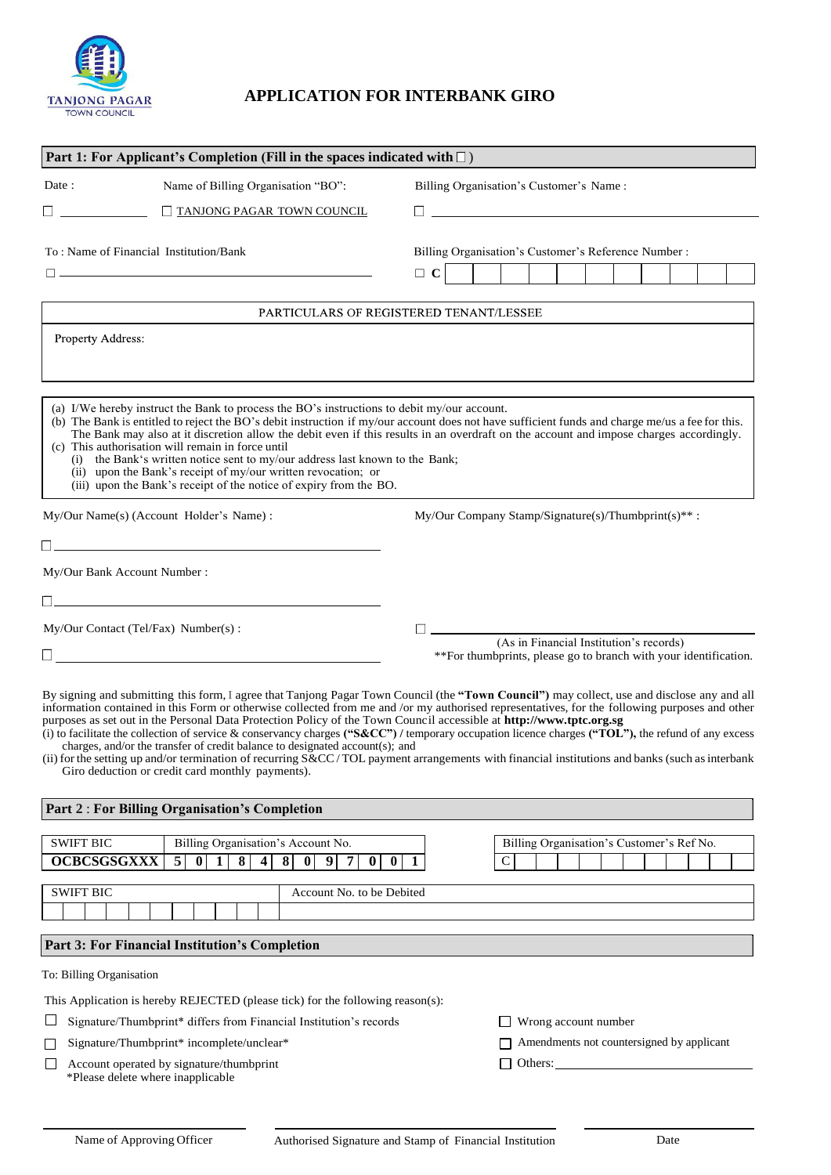

## **APPLICATION FOR INTERBANK GIRO**

|                                          |                                                                                                                                                                                                                                                                                                                 | Part 1: For Applicant's Completion (Fill in the spaces indicated with $\square$ )                                                                                                                                                                                                                                                                                                                                                                                                                                                                                                                     |
|------------------------------------------|-----------------------------------------------------------------------------------------------------------------------------------------------------------------------------------------------------------------------------------------------------------------------------------------------------------------|-------------------------------------------------------------------------------------------------------------------------------------------------------------------------------------------------------------------------------------------------------------------------------------------------------------------------------------------------------------------------------------------------------------------------------------------------------------------------------------------------------------------------------------------------------------------------------------------------------|
| Date:                                    | Name of Billing Organisation "BO":                                                                                                                                                                                                                                                                              | Billing Organisation's Customer's Name:                                                                                                                                                                                                                                                                                                                                                                                                                                                                                                                                                               |
|                                          | TANJONG PAGAR TOWN COUNCIL                                                                                                                                                                                                                                                                                      | <u>and the contract of the contract of the contract of the contract of the contract of the contract of the contract of the contract of the contract of the contract of the contract of the contract of the contract of the contr</u>                                                                                                                                                                                                                                                                                                                                                                  |
|                                          | To: Name of Financial Institution/Bank                                                                                                                                                                                                                                                                          | Billing Organisation's Customer's Reference Number :                                                                                                                                                                                                                                                                                                                                                                                                                                                                                                                                                  |
|                                          | the control of the control of the control of the control of the control of the control of                                                                                                                                                                                                                       | $\Box$ C                                                                                                                                                                                                                                                                                                                                                                                                                                                                                                                                                                                              |
|                                          |                                                                                                                                                                                                                                                                                                                 | PARTICULARS OF REGISTERED TENANT/LESSEE                                                                                                                                                                                                                                                                                                                                                                                                                                                                                                                                                               |
| <b>Property Address:</b>                 |                                                                                                                                                                                                                                                                                                                 |                                                                                                                                                                                                                                                                                                                                                                                                                                                                                                                                                                                                       |
|                                          | (a) I/We hereby instruct the Bank to process the BO's instructions to debit my/our account.                                                                                                                                                                                                                     |                                                                                                                                                                                                                                                                                                                                                                                                                                                                                                                                                                                                       |
|                                          | (c) This authorisation will remain in force until<br>(i) the Bank's written notice sent to my/our address last known to the Bank;<br>(ii) upon the Bank's receipt of my/our written revocation; or                                                                                                              | (b) The Bank is entitled to reject the BO's debit instruction if my/our account does not have sufficient funds and charge me/us a fee for this.<br>The Bank may also at it discretion allow the debit even if this results in an overdraft on the account and impose charges accordingly.                                                                                                                                                                                                                                                                                                             |
|                                          | (iii) upon the Bank's receipt of the notice of expiry from the BO.                                                                                                                                                                                                                                              |                                                                                                                                                                                                                                                                                                                                                                                                                                                                                                                                                                                                       |
| My/Our Name(s) (Account Holder's Name) : |                                                                                                                                                                                                                                                                                                                 | My/Our Company Stamp/Signature(s)/Thumbprint(s)**:                                                                                                                                                                                                                                                                                                                                                                                                                                                                                                                                                    |
|                                          |                                                                                                                                                                                                                                                                                                                 |                                                                                                                                                                                                                                                                                                                                                                                                                                                                                                                                                                                                       |
|                                          | My/Our Bank Account Number:                                                                                                                                                                                                                                                                                     |                                                                                                                                                                                                                                                                                                                                                                                                                                                                                                                                                                                                       |
|                                          | <u> 1989 - Johann Barn, mars ann an t-Amhain Aonaich an t-Aonaich an t-Aonaich an t-Aonaich an t-Aonaich an t-Aon</u>                                                                                                                                                                                           |                                                                                                                                                                                                                                                                                                                                                                                                                                                                                                                                                                                                       |
|                                          |                                                                                                                                                                                                                                                                                                                 |                                                                                                                                                                                                                                                                                                                                                                                                                                                                                                                                                                                                       |
|                                          |                                                                                                                                                                                                                                                                                                                 |                                                                                                                                                                                                                                                                                                                                                                                                                                                                                                                                                                                                       |
|                                          | My/Our Contact (Tel/Fax) Number(s):                                                                                                                                                                                                                                                                             | (As in Financial Institution's records)                                                                                                                                                                                                                                                                                                                                                                                                                                                                                                                                                               |
|                                          |                                                                                                                                                                                                                                                                                                                 | **For thumbprints, please go to branch with your identification.                                                                                                                                                                                                                                                                                                                                                                                                                                                                                                                                      |
|                                          | purposes as set out in the Personal Data Protection Policy of the Town Council accessible at http://www.tptc.org.sg<br>charges, and/or the transfer of credit balance to designated account(s); and<br>Giro deduction or credit card monthly payments).<br><b>Part 2: For Billing Organisation's Completion</b> | By signing and submitting this form, I agree that Tanjong Pagar Town Council (the "Town Council") may collect, use and disclose any and all<br>information contained in this Form or otherwise collected from me and /or my authorised representatives, for the following purposes and other<br>(i) to facilitate the collection of service & conservancy charges ("S&CC") / temporary occupation licence charges ("TOL"), the refund of any excess<br>(ii) for the setting up and/or termination of recurring S&CC/TOL payment arrangements with financial institutions and banks (such as interbank |
| <b>SWIFT BIC</b><br><b>OCBCSGSGXXX</b>   | Billing Organisation's Account No.<br>8<br>8<br>$\mathbf{5}$<br>$\bf{0}$<br>1<br>4<br> 0 <br>9<br>$\bf{0}$<br>7                                                                                                                                                                                                 | Billing Organisation's Customer's Ref No.<br>$\mathbf C$<br>$\bf{0}$<br>1                                                                                                                                                                                                                                                                                                                                                                                                                                                                                                                             |
| <b>SWIFT BIC</b>                         | Account No. to be Debited                                                                                                                                                                                                                                                                                       |                                                                                                                                                                                                                                                                                                                                                                                                                                                                                                                                                                                                       |
|                                          |                                                                                                                                                                                                                                                                                                                 |                                                                                                                                                                                                                                                                                                                                                                                                                                                                                                                                                                                                       |
|                                          | Part 3: For Financial Institution's Completion                                                                                                                                                                                                                                                                  |                                                                                                                                                                                                                                                                                                                                                                                                                                                                                                                                                                                                       |
| To: Billing Organisation                 |                                                                                                                                                                                                                                                                                                                 |                                                                                                                                                                                                                                                                                                                                                                                                                                                                                                                                                                                                       |
|                                          | This Application is hereby REJECTED (please tick) for the following reason(s):                                                                                                                                                                                                                                  |                                                                                                                                                                                                                                                                                                                                                                                                                                                                                                                                                                                                       |
|                                          | Signature/Thumbprint* differs from Financial Institution's records                                                                                                                                                                                                                                              | $\Box$ Wrong account number                                                                                                                                                                                                                                                                                                                                                                                                                                                                                                                                                                           |
|                                          | Signature/Thumbprint* incomplete/unclear*                                                                                                                                                                                                                                                                       | Amendments not countersigned by applicant                                                                                                                                                                                                                                                                                                                                                                                                                                                                                                                                                             |